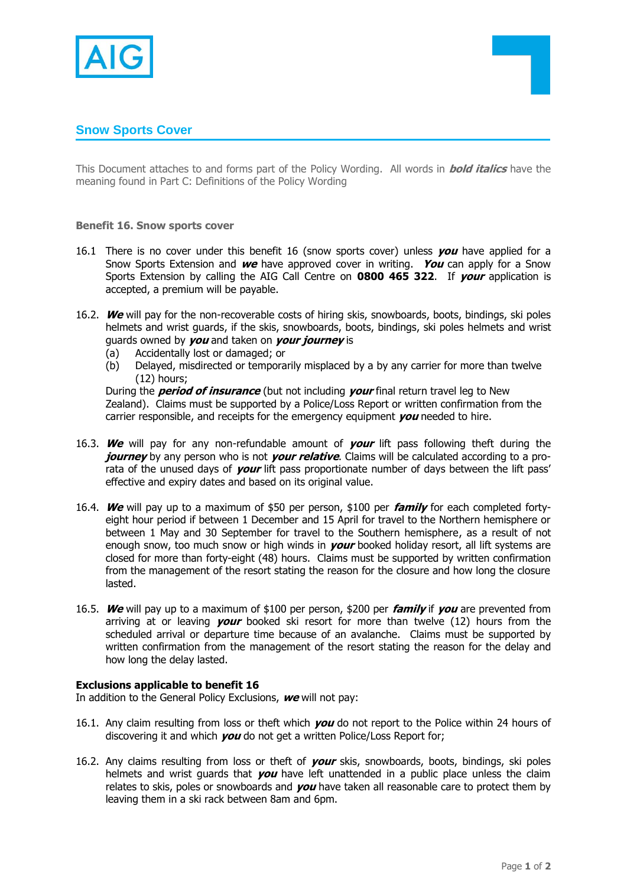



This Document attaches to and forms part of the Policy Wording. All words in **bold italics** have the meaning found in Part C: Definitions of the Policy Wording

**Benefit 16. Snow sports cover**

- 16.1 There is no cover under this benefit 16 (snow sports cover) unless **you** have applied for a Snow Sports Extension and **we** have approved cover in writing. **You** can apply for a Snow Sports Extension by calling the AIG Call Centre on **0800 465 322**. If **your** application is accepted, a premium will be payable.
- 16.2. **We** will pay for the non-recoverable costs of hiring skis, snowboards, boots, bindings, ski poles helmets and wrist guards, if the skis, snowboards, boots, bindings, ski poles helmets and wrist guards owned by **you** and taken on **your journey** is
	- (a) Accidentally lost or damaged; or
	- (b) Delayed, misdirected or temporarily misplaced by a by any carrier for more than twelve (12) hours;

During the **period of insurance** (but not including **your** final return travel leg to New Zealand). Claims must be supported by a Police/Loss Report or written confirmation from the carrier responsible, and receipts for the emergency equipment **you** needed to hire.

- 16.3. **We** will pay for any non-refundable amount of **your** lift pass following theft during the *journey* by any person who is not *your relative*. Claims will be calculated according to a prorata of the unused days of **your** lift pass proportionate number of days between the lift pass' effective and expiry dates and based on its original value.
- 16.4. **We** will pay up to a maximum of \$50 per person, \$100 per **family** for each completed fortyeight hour period if between 1 December and 15 April for travel to the Northern hemisphere or between 1 May and 30 September for travel to the Southern hemisphere, as a result of not enough snow, too much snow or high winds in **your** booked holiday resort, all lift systems are closed for more than forty-eight (48) hours. Claims must be supported by written confirmation from the management of the resort stating the reason for the closure and how long the closure lasted.
- 16.5. **We** will pay up to a maximum of \$100 per person, \$200 per **family** if **you** are prevented from arriving at or leaving **your** booked ski resort for more than twelve (12) hours from the scheduled arrival or departure time because of an avalanche. Claims must be supported by written confirmation from the management of the resort stating the reason for the delay and how long the delay lasted.

## **Exclusions applicable to benefit 16**

In addition to the General Policy Exclusions, **we** will not pay:

- 16.1. Any claim resulting from loss or theft which **you** do not report to the Police within 24 hours of discovering it and which **you** do not get a written Police/Loss Report for;
- 16.2. Any claims resulting from loss or theft of **your** skis, snowboards, boots, bindings, ski poles helmets and wrist guards that **you** have left unattended in a public place unless the claim relates to skis, poles or snowboards and **you** have taken all reasonable care to protect them by leaving them in a ski rack between 8am and 6pm.